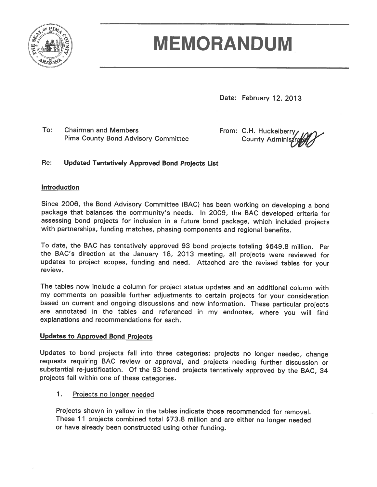

# **MEMORANDUM**

Date: February 12, 2013

To: **Chairman and Members Pima County Bond Advisory Committee**  From: C.H. Huckelberry **County Adminis** 

#### Re: **Updated Tentatively Approved Bond Projects List**

## **Introduction**

Since 2006, the Bond Advisory Committee (BAC) has been working on developing a bond package that balances the community's needs. In 2009, the BAC developed criteria for assessing bond projects for inclusion in a future bond package, which included projects with partnerships, funding matches, phasing components and regional benefits.

To date, the BAC has tentatively approved 93 bond projects totaling \$649.8 million. Per the BAC's direction at the January 18, 2013 meeting, all projects were reviewed for updates to project scopes, funding and need. Attached are the revised tables for your review.

The tables now include a column for project status updates and an additional column with my comments on possible further adjustments to certain projects for your consideration based on current and ongoing discussions and new information. These particular projects are annotated in the tables and referenced in my endnotes, where you will find explanations and recommendations for each.

## **Updates to Approved Bond Projects**

Updates to bond projects fall into three categories: projects no longer needed, change requests requiring BAC review or approval, and projects needing further discussion or substantial re-justification. Of the 93 bond projects tentatively approved by the BAC, 34 projects fall within one of these categories.

#### 1. Projects no longer needed

Projects shown in yellow in the tables indicate those recommended for removal. These 11 projects combined total \$73.8 million and are either no longer needed or have already been constructed using other funding.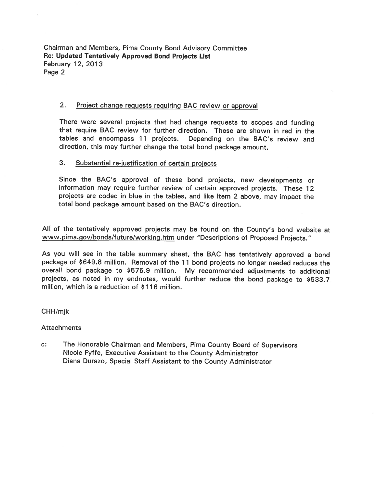Chairman and Members, Pima County Bond Advisory Committee Re: Updated Tentatively Approved Bond Projects List **February 12, 2013** Page 2

#### $2.$ Project change requests requiring BAC review or approval

There were several projects that had change requests to scopes and funding that require BAC review for further direction. These are shown in red in the tables and encompass 11 projects. Depending on the BAC's review and direction, this may further change the total bond package amount.

#### 3. Substantial re-justification of certain projects

Since the BAC's approval of these bond projects, new developments or information may require further review of certain approved projects. These 12 projects are coded in blue in the tables, and like Item 2 above, may impact the total bond package amount based on the BAC's direction.

All of the tentatively approved projects may be found on the County's bond website at www.pima.gov/bonds/future/working.htm under "Descriptions of Proposed Projects."

As you will see in the table summary sheet, the BAC has tentatively approved a bond package of \$649.8 million. Removal of the 11 bond projects no longer needed reduces the overall bond package to \$575.9 million. My recommended adjustments to additional projects, as noted in my endnotes, would further reduce the bond package to \$533.7 million, which is a reduction of \$116 million.

#### CHH/mjk

#### **Attachments**

 $C^*$ The Honorable Chairman and Members, Pima County Board of Supervisors Nicole Fyffe, Executive Assistant to the County Administrator Diana Durazo, Special Staff Assistant to the County Administrator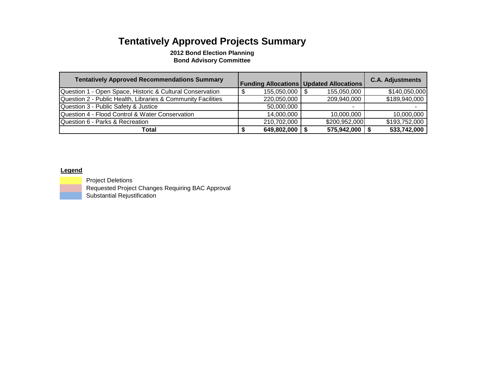## **Tentatively Approved Projects Summary**

**2012 Bond Election Planning Bond Advisory Committee**

| <b>Tentatively Approved Recommendations Summary</b>          |             | <b>Funding Allocations   Updated Allocations</b> | <b>C.A. Adjustments</b> |
|--------------------------------------------------------------|-------------|--------------------------------------------------|-------------------------|
| Question 1 - Open Space, Historic & Cultural Conservation    | 155,050,000 | 155,050,000                                      | \$140,050,000           |
| Question 2 - Public Health, Libraries & Community Facilities | 220,050,000 | 209,940,000                                      | \$189,940,000           |
| Question 3 - Public Safety & Justice                         | 50,000,000  |                                                  |                         |
| Question 4 - Flood Control & Water Conservation              | 14,000,000  | 10,000,000                                       | 10.000.000              |
| Question 6 - Parks & Recreation                              | 210,702,000 | \$200,952,000                                    | \$193,752,000           |
| Total                                                        | 649,802,000 | 575,942,000                                      | 533,742,000             |

#### **Legend**



 Project Deletions Requested Project Changes Requiring BAC Approval Substantial Rejustification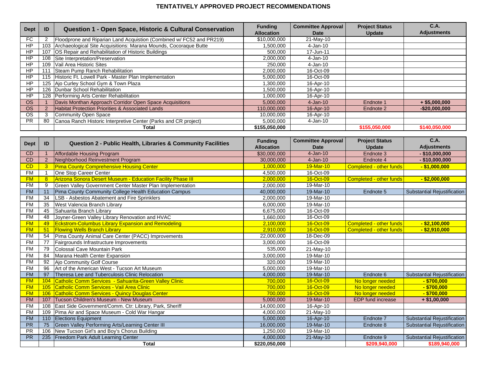#### **TENTATIVELY APPROVED PROJECT RECOMMENDATIONS**

| <b>Dept</b> | ID  | Question 1 - Open Space, Historic & Cultural Conservation            | <b>Funding</b><br><b>Allocation</b> | <b>Committee Approval</b><br>Date | <b>Project Status</b><br>Update | C.A.<br><b>Adjustments</b> |
|-------------|-----|----------------------------------------------------------------------|-------------------------------------|-----------------------------------|---------------------------------|----------------------------|
| FC.         |     | Floodprone and Riparian Land Acquistion (Combined w/ FC52 and PR219) | \$10,000,000                        | 21-May-10                         |                                 |                            |
| <b>HP</b>   | 103 | Archaeological Site Acquisitions: Marana Mounds, Cocoraque Butte     | 1,500,000                           | 4-Jan-10                          |                                 |                            |
| <b>HP</b>   | 107 | OS Repair and Rehabilitation of Historic Buildings                   | 500.000                             | 17-Jun-11                         |                                 |                            |
| <b>HP</b>   | 108 | Site Interpretation/Preservation                                     | 2,000,000                           | 4-Jan-10                          |                                 |                            |
| <b>HP</b>   |     | 109 Vail Area Historic Sites                                         | 250,000                             | 4-Jan-10                          |                                 |                            |
| <b>HP</b>   | 111 | Steam Pump Ranch Rehabilitation                                      | 2,000,000                           | 16-Oct-09                         |                                 |                            |
| <b>HP</b>   |     | 115 Historic Ft. Lowell Park - Master Plan Implementation            | 5,000,000                           | 16-Oct-09                         |                                 |                            |
| HP          |     | 125 Ajo Curley School Gym & Town Plaza                               | 1,300,000                           | 16-Apr-10                         |                                 |                            |
| <b>HP</b>   |     | 126   Dunbar School Rehabilitation                                   | 1,500,000                           | 16-Apr-10                         |                                 |                            |
| <b>HP</b>   |     | 128 Performing Arts Center Rehabilitation                            | 1,000,000                           | 16-Apr-10                         |                                 |                            |
| <b>OS</b>   |     | Davis Monthan Approach Corridor Open Space Acquisitions              | 5,000,000                           | $4$ -Jan-10                       | Endnote 1                       | $+$ \$5,000,000            |
| <b>OS</b>   |     | Habitat Protection Priorities & Associated Lands                     | 110,000,000                         | 16-Apr-10                         | Endnote 2                       | $-$20,000,000$             |
| <b>OS</b>   |     | Community Open Space                                                 | 10,000,000                          | 16-Apr-10                         |                                 |                            |
| PR.         | 80  | Canoa Ranch Historic Interpretive Center (Parks and CR project)      | 5,000,000                           | 4-Jan-10                          |                                 |                            |
|             |     | Total                                                                | \$155,050,000                       |                                   | \$155,050,000                   | \$140,050,000              |

| <b>Dept</b> | ID             | Question 2 - Public Health, Libraries & Community Facilities       | <b>Funding</b>    | <b>Committee Approval</b> | <b>Project Status</b>          | <b>C.A.</b>                        |
|-------------|----------------|--------------------------------------------------------------------|-------------------|---------------------------|--------------------------------|------------------------------------|
|             |                |                                                                    | <b>Allocation</b> | <b>Date</b>               | <b>Update</b>                  | <b>Adjustments</b>                 |
| CD          |                | Affordable Housing Program                                         | \$30,000,000      | $4-Jan-10$                | Endnote 3                      | $-$ \$10,000,000                   |
| CD          | $\overline{2}$ | Neighborhood Reinvestment Program                                  | 30,000,000        | $4-Jan-10$                | Endnote 4                      | $-$ \$10,000,000                   |
| CD          | 3 <sup>2</sup> | <b>Pima County Comprehensive Housing Center</b>                    | 1,000,000         | 19-Mar-10                 | <b>Completed - other funds</b> | $-$ \$1,000,000                    |
| FM          |                | One Stop Career Center                                             | 4,500,000         | 16-Oct-09                 |                                |                                    |
| <b>FM</b>   | 8              | <b>Arizona Sonora Desert Museum - Education Facility Phase III</b> | 2,000,000         | 16-Oct-09                 | <b>Completed - other funds</b> | $-$ \$2,000,000                    |
| <b>FM</b>   | 9              | Green Valley Government Center Master Plan Implementation          | 2,000,000         | 19-Mar-10                 |                                |                                    |
| <b>FM</b>   | 11             | Pima County Community College Health Education Campus              | 40,000,000        | 19-Mar-10                 | Endnote 5                      | <b>Substantial Rejustification</b> |
| <b>FM</b>   | 34             | LSB - Asbestos Abatement and Fire Sprinklers                       | 2,000,000         | 19-Mar-10                 |                                |                                    |
| <b>FM</b>   | 35             | West Valencia Branch Library                                       | 6,000,000         | 19-Mar-10                 |                                |                                    |
| <b>FM</b>   | 45             | Sahuarita Branch Library                                           | 6,675,000         | 16-Oct-09                 |                                |                                    |
| <b>FM</b>   | 48             | Joyner-Green Valley Library Renovation and HVAC                    | 1,660,000         | 16-Oct-09                 |                                |                                    |
| <b>FM</b>   | 49             | <b>Eckstrom-Columbus Library Expansion and Remodeling</b>          | 2,100,000         | 16-Oct-09                 | <b>Completed - other funds</b> | $-$ \$2,100,000                    |
| <b>FM</b>   | 51             | <b>Flowing Wells Branch Library</b>                                | 2,910,000         | 16-Oct-09                 | <b>Completed - other funds</b> | $-$ \$2,910,000                    |
| <b>FM</b>   | 54             | Pima County Animal Care Center (PACC) Improvements                 | 22,000,000        | 18-Dec-09                 |                                |                                    |
| <b>FM</b>   | 77             | Fairgrounds Infrastructure Improvements                            | 3,000,000         | 16-Oct-09                 |                                |                                    |
| <b>FM</b>   | 79             | Colossal Cave Mountain Park                                        | 535,000           | 21-May-10                 |                                |                                    |
| <b>FM</b>   | 84             | Marana Health Center Expansion                                     | 3,000,000         | 19-Mar-10                 |                                |                                    |
| <b>FM</b>   | 92             | Ajo Community Golf Course                                          | 320,000           | 19-Mar-10                 |                                |                                    |
| <b>FM</b>   | 96             | Art of the American West - Tucson Art Museum                       | 5,000,000         | 19-Mar-10                 |                                |                                    |
| <b>FM</b>   | 97             | Theresa Lee and Tuberculosis Clinic Relocation                     | 4,000,000         | 19-Mar-10                 | Endnote 6                      | <b>Substantial Rejustification</b> |
| <b>FM</b>   | 104            | Catholic Comm Services - Sahuarita-Green Valley Clinic             | 700,000           | 16-Oct-09                 | No longer needed               | $-$ \$700,000                      |
| <b>FM</b>   | 105            | Catholic Comm Services - Vail Area Clinic                          | 700.000           | 16-Oct-09                 | No longer needed               | $-$ \$700,000                      |
| <b>FM</b>   | 106            | Catholic Comm Services - Quincy Douglas Center                     | 700,000           | 16-Oct-09                 | No longer needed               | $-$ \$700,000                      |
| <b>FM</b>   | 107            | Tucson Children's Museum - New Museum                              | 5,000,000         | 19-Mar-10                 | <b>EDP</b> fund increase       | $+ $1,00,000$                      |
| <b>FM</b>   | 108            | East Side Government/Comm. Ctr: Library, Park, Sheriff             | 14,000,000        | 16-Apr-10                 |                                |                                    |
| <b>FM</b>   | 109            | Pima Air and Space Museum - Cold War Hangar                        | 4,000,000         | 21-May-10                 |                                |                                    |
| <b>FM</b>   | 110            | <b>Elections Equipment</b>                                         | 5,000,000         | 16-Apr-10                 | Endnote 7                      | <b>Substantial Rejustification</b> |
| <b>PR</b>   | 75             | Green Valley Performing Arts/Learning Center III                   | 16,000,000        | 19-Mar-10                 | Endnote 8                      | Substantial Rejustification        |
| <b>PR</b>   | 106            | New Tucson Girl's and Boy's Chorus Building                        | 1,250,000         | 19-Mar-10                 |                                |                                    |
| <b>PR</b>   | 235            | Freedom Park Adult Learning Center                                 | 4,000,000         | 21-May-10                 | Endnote 9                      | Substantial Rejustification        |
|             |                | <b>Total</b>                                                       | \$220,050,000     |                           | \$209,940,000                  | \$189,940,000                      |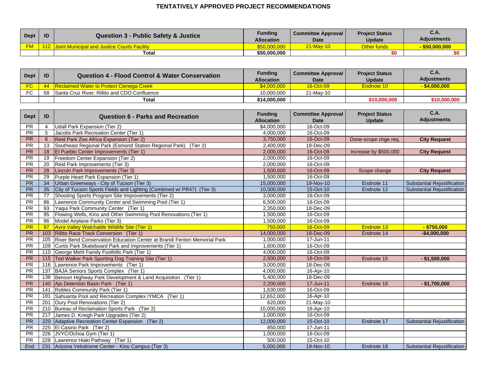#### **TENTATIVELY APPROVED PROJECT RECOMMENDATIONS**

| <b>Dept</b> | ID | <b>Question 3 - Public Safety &amp; Justice</b>     | <b>Funding</b><br>Allocation | <b>Committee Approval</b><br><b>Date</b> | <b>Project Status</b><br><b>Update</b> | C.A.<br><b>Adjustments</b> |
|-------------|----|-----------------------------------------------------|------------------------------|------------------------------------------|----------------------------------------|----------------------------|
| <b>FM</b>   |    | <u>Joint Municipal and Justice Courts Facility.</u> | \$50,000,000                 | 21-May-10                                | Other funds <sup>l</sup>               | \$50,000,000               |
|             |    | Total                                               | \$50,000,000                 |                                          |                                        |                            |

| <b>Dept</b> | ID | Question 4 - Flood Control & Water Conservation | <b>Funding</b><br><b>Allocation</b> | <b>Committee Approval</b><br>Date | <b>Project Status</b><br><b>Update</b> | C.A.<br><b>Adjustments</b> |
|-------------|----|-------------------------------------------------|-------------------------------------|-----------------------------------|----------------------------------------|----------------------------|
|             |    | 44 Reclaimed Water to Protect Cienega Creek     | \$4.000.000                         | 16-Oct-09                         | Endnote 10                             | $-$ \$4,000,000            |
| <b>FO</b>   | 58 | Santa Cruz River: Rillito and CDO Confluence    | 10.000.000                          | 21-May-10                         |                                        |                            |
|             |    | Total                                           | \$14,000,000                        |                                   | \$10,000,000                           | \$10,000,00                |

| <b>Dept</b> | ID              | <b>Question 6 - Parks and Recreation</b>                                | <b>Funding</b>                   | <b>Committee Approval</b> | <b>Project Status</b> | <b>C.A.</b><br><b>Adjustments</b>  |
|-------------|-----------------|-------------------------------------------------------------------------|----------------------------------|---------------------------|-----------------------|------------------------------------|
| <b>PR</b>   | $\overline{4}$  | Udall Park Expansion (Tier 2)                                           | <b>Allocation</b><br>\$4,000,000 | <b>Date</b><br>16-Oct-09  | <b>Update</b>         |                                    |
| <b>PR</b>   | 5               | Jacobs Park Recreation Center (Tier 1)                                  | 4,000,000                        | 16-Oct-09                 |                       |                                    |
| <b>PR</b>   | 6               | Reid Park Zoo Africa Expansion (Tier 2)                                 | 3,750,000                        | 16-Oct-09                 | Done-scope chge req.  | <b>City Request</b>                |
| <b>PR</b>   | 13              | Southeast Regional Park (Esmond Station Regional Park) (Tier 2)         | 2,400,000                        | 18-Dec-09                 |                       |                                    |
| <b>PR</b>   | 18              | El Pueblo Center Improvements (Tier 1)                                  | 2,000,000                        | 16-Oct-09                 | increase by \$500,000 | <b>City Request</b>                |
| PR          | 19              | Freedom Center Expansion (Tier 2)                                       | 2,000,000                        | 16-Oct-09                 |                       |                                    |
| <b>PR</b>   | 20              | Reid Park Improvements (Tier 3)                                         | 2,000,000                        | 16-Oct-09                 |                       |                                    |
| <b>PR</b>   | 28              | Lincoln Park Improvements (Tier 3)                                      | 1,500,000                        | 16-Oct-09                 | Scope change          | <b>City Request</b>                |
| <b>PR</b>   | 29              | Purple Heart Park Expansion (Tier 1)                                    | 1,500,000                        | 16-Oct-09                 |                       |                                    |
| <b>PR</b>   | 34              | Urban Greenways - City of Tucson (Tier 3)                               | 15,000,000                       | 19-Nov-10                 | Endnote 11            | <b>Substantial Rejustification</b> |
| PR          | $\overline{35}$ | City of Tucson Sports Fields and Lighting (Combined w/ PR47) (Tier 3)   | 10,000,000                       | 15-Oct-10                 | Endnote 12            | <b>Substantial Rejustification</b> |
| <b>PR</b>   | 77              | Shooting Sports Program Site Improvements (Tier 2)                      | 3,000,000                        | 16-Oct-09                 |                       |                                    |
| <b>PR</b>   | 86              | Lawrence Community Center and Swimming Pool (Tier 1)                    | 6,500,000                        | 16-Oct-09                 |                       |                                    |
| <b>PR</b>   | 93              | Yaqui Park Community Center (Tier 1)                                    | 2,350,000                        | 18-Dec-09                 |                       |                                    |
| <b>PR</b>   | 95              | Flowing Wells, Kino and Other Swimming Pool Renovations (Tier 1)        | 1,500,000                        | 16-Oct-09                 |                       |                                    |
| PR          | 96              | Model Airplane Parks (Tier 3)                                           | 1,500,000                        | 16-Oct-09                 |                       |                                    |
| <b>PR</b>   | 97              | <b>Avra Valley Watchable Wildlife Site (Tier 1)</b>                     | 750,000                          | 16-Oct-09                 | Endnote 13            | $-$ \$750,000                      |
| <b>PR</b>   | 103             | Rillito Race Track Conversion (Tier 1)                                  | 14,000,000                       | 18-Dec-09                 | Endnote 14            | $-$4,000,000$                      |
| <b>PR</b>   | 105             | River Bend Conservation Education Center at Brandi Fenton Memorial Park | 1,000,000                        | 17-Jun-11                 |                       |                                    |
| <b>PR</b>   | 109             | Curtis Park Skateboard Park and Improvements (Tier 1)                   | 1,600,000                        | 16-Oct-09                 |                       |                                    |
| PR          | 110             | George Mehl Family Foothills Park (Tier 1)                              | 4,000,000                        | 16-Oct-09                 |                       |                                    |
| <b>PR</b>   | 115             | Ted Walker Park Sporting Dog Training Site (Tier 1)                     | 2,500,000                        | 16-Oct-09                 | Endnote 15            | $-$ \$1,500,000                    |
| <b>PR</b>   | 116             | Lawrence Park Improvements<br>(Tier 1)                                  | 3,000,000                        | 18-Dec-09                 |                       |                                    |
| <b>PR</b>   | 137             | BAJA Seniors Sports Complex (Tier 1)                                    | 4,000,000                        | 16-Apr-10                 |                       |                                    |
| PR          | 138             | Benson Highway Park Development & Land Acquisition (Tier 1)             | 5,400,000                        | 18-Dec-09                 |                       |                                    |
| <b>PR</b>   | 140             | Ajo Detention Basin Park (Tier 1)                                       | 2,200,000                        | 17-Jun-11                 | Endnote 16            | $- $1,700,000$                     |
| <b>PR</b>   |                 | 141 Robles Community Park (Tier 1)                                      | 1,630,000                        | 16-Oct-09                 |                       |                                    |
| <b>PR</b>   |                 | 181 Sahuarita Pool and Recreation Complex / YMCA (Tier 1)               | 12,652,000                       | 16-Apr-10                 |                       |                                    |
| <b>PR</b>   |                 | 201 Oury Pool Renovations (Tier 2)                                      | 620,000                          | 21-May-10                 |                       |                                    |
| PR          |                 | 210 Bureau of Reclamation Sports Park (Tier 2)                          | 10,000,000                       | 16-Apr-10                 |                       |                                    |
| <b>PR</b>   | 217             | James D. Kriegh Park Upgrades (Tier 2)                                  | 1,000,000                        | 16-Oct-09                 |                       |                                    |
| <b>PR</b>   | 220             | Adaptive Recreation Center Expansion (Tier 2)                           | 12,000,000                       | 15-Oct-10                 | Endnote 17            | Substantial Rejustification        |
| PR          | 225             | El Casino Park (Tier 2)                                                 | 850,000                          | 17-Jun-11                 |                       |                                    |
| <b>PR</b>   |                 | 226 JVYC/Ochoa Gym (Tier 1)                                             | 1,000,000                        | 16-Oct-09                 |                       |                                    |
| <b>PR</b>   | 228             | Lawrence Hiaki Pathway (Tier 1)                                         | 500,000                          | 15-Oct-10                 |                       |                                    |
| End         |                 | 231 Arizona Velodrome Center - Kino Campus (Tier 3)                     | 5,000,000                        | 19-Nov-10                 | Endnote 18            | <b>Substantial Rejustification</b> |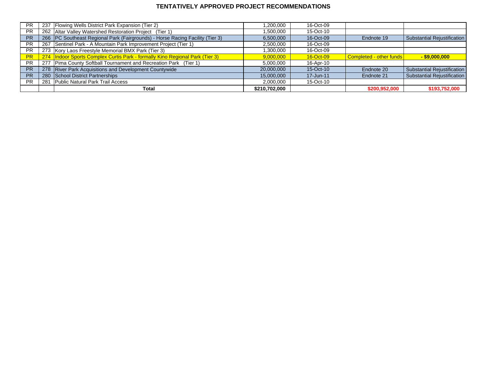#### **TENTATIVELY APPROVED PROJECT RECOMMENDATIONS**

| <b>PR</b> |     | 237 Flowing Wells District Park Expansion (Tier 2)                              | 200,000. ا    | 16-Oct-09 |                         |                             |
|-----------|-----|---------------------------------------------------------------------------------|---------------|-----------|-------------------------|-----------------------------|
| <b>PR</b> |     | 262 Altar Valley Watershed Restoration Project (Tier 1)                         | .500,000      | 15-Oct-10 |                         |                             |
| <b>PR</b> |     | 266   PC Southeast Regional Park (Fairgrounds) - Horse Racing Facility (Tier 3) | 6,500,000     | 16-Oct-09 | Endnote 19              | Substantial Rejustification |
| <b>PR</b> |     | 267 Sentinel Park - A Mountain Park Improvement Project (Tier 1)                | 2,500,000     | 16-Oct-09 |                         |                             |
| <b>PR</b> |     | 273 Kory Laos Freestyle Memorial BMX Park (Tier 3)                              | 1,300,000     | 16-Oct-09 |                         |                             |
| <b>PR</b> |     | 274   Indoor Sports Complex Curtis Park - formally Kino Regional Park (Tier 3)  | 9,000,000     | 16-Oct-09 | Completed - other funds | $-$ \$9,000,000             |
| <b>PR</b> |     | 277 Pima County Softball Tournament and Recreation Park (Tier 1)                | 5,000,000     | 16-Apr-10 |                         |                             |
| <b>PR</b> |     | 278 River Park Acquisitions and Development Countywide                          | 20,000,000    | 15-Oct-10 | Endnote 20              | Substantial Rejustification |
| <b>PR</b> |     | 280 School District Partnerships                                                | 15,000,000    | 17-Jun-11 | Endnote 21              | Substantial Rejustification |
| <b>PR</b> | 281 | <b>Public Natural Park Trail Access</b>                                         | 2,000,000     | 15-Oct-10 |                         |                             |
|           |     | Total                                                                           | \$210,702,000 |           | \$200,952,000           | \$193,752,000               |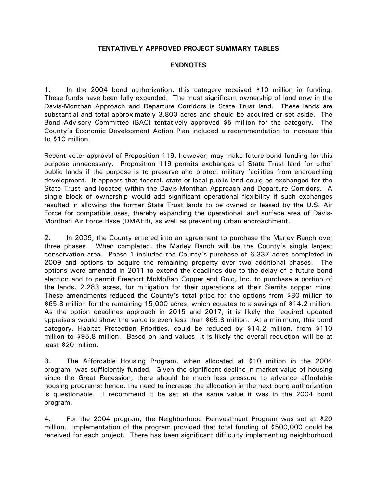### **TENTATIVELY APPROVED PROJECT SUMMARY TABLES**

## **ENDNOTES**

1. In the 2004 bond authorization, this category received \$10 million in funding. These funds have been fully expended. The most significant ownership of land now in the Davis-Monthan Approach and Departure Corridors is State Trust land. These lands are substantial and total approximately 3,800 acres and should be acquired or set aside. The Bond Advisory Committee (BAC) tentatively approved \$5 million for the category. The County's Economic Development Action Plan included a recommendation to increase this to \$10 million.

Recent voter approval of Proposition 119, however, may make future bond funding for this purpose unnecessary. Proposition 119 permits exchanges of State Trust land for other public lands if the purpose is to preserve and protect military facilities from encroaching development. It appears that federal, state or local public land could be exchanged for the State Trust land located within the Davis-Monthan Approach and Departure Corridors. A single block of ownership would add significant operational flexibility if such exchanges resulted in allowing the former State Trust lands to be owned or leased by the U.S. Air Force for compatible uses, thereby expanding the operational land surface area of Davis-Monthan Air Force Base (DMAFB), as well as preventing urban encroachment.

2. In 2009, the County entered into an agreement to purchase the Marley Ranch over three phases. When completed, the Marley Ranch will be the County's single largest conservation area. Phase 1 included the County's purchase of 6,337 acres completed in 2009 and options to acquire the remaining property over two additional phases. The options were amended in 2011 to extend the deadlines due to the delay of a future bond election and to permit Freeport McMoRan Copper and Gold, Inc. to purchase a portion of the lands, 2,283 acres, for mitigation for their operations at their Sierrita copper mine. These amendments reduced the County's total price for the options from \$80 million to \$65.8 million for the remaining 15,000 acres, which equates to a savings of \$14.2 million. As the option deadlines approach in 2015 and 2017, it is likely the required updated appraisals would show the value is even less than \$65.8 million. At a minimum, this bond category, Habitat Protection Priorities, could be reduced by \$14.2 million, from \$110 million to \$95.8 million. Based on land values, it is likely the overall reduction will be at least \$20 million.

3. The Affordable Housing Program, when allocated at \$10 million in the 2004 program, was sufficiently funded. Given the significant decline in market value of housing since the Great Recession, there should be much less pressure to advance affordable housing programs; hence, the need to increase the allocation in the next bond authorization is questionable. I recommend it be set at the same value it was in the 2004 bond program.

4. For the 2004 program, the Neighborhood Reinvestment Program was set at \$20 million. Implementation of the program provided that total funding of \$500,000 could be received for each project. There has been significant difficulty implementing neighborhood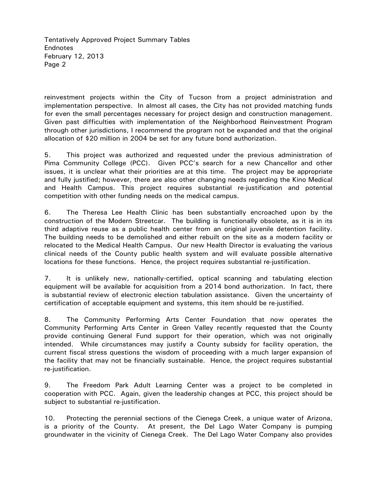Tentatively Approved Project Summary Tables Endnotes February 12, 2013 Page 2

reinvestment projects within the City of Tucson from a project administration and implementation perspective. In almost all cases, the City has not provided matching funds for even the small percentages necessary for project design and construction management. Given past difficulties with implementation of the Neighborhood Reinvestment Program through other jurisdictions, I recommend the program not be expanded and that the original allocation of \$20 million in 2004 be set for any future bond authorization.

5. This project was authorized and requested under the previous administration of Pima Community College (PCC). Given PCC's search for a new Chancellor and other issues, it is unclear what their priorities are at this time. The project may be appropriate and fully justified; however, there are also other changing needs regarding the Kino Medical and Health Campus. This project requires substantial re-justification and potential competition with other funding needs on the medical campus.

6. The Theresa Lee Health Clinic has been substantially encroached upon by the construction of the Modern Streetcar. The building is functionally obsolete, as it is in its third adaptive reuse as a public health center from an original juvenile detention facility. The building needs to be demolished and either rebuilt on the site as a modern facility or relocated to the Medical Health Campus. Our new Health Director is evaluating the various clinical needs of the County public health system and will evaluate possible alternative locations for these functions. Hence, the project requires substantial re-justification.

7. It is unlikely new, nationally-certified, optical scanning and tabulating election equipment will be available for acquisition from a 2014 bond authorization. In fact, there is substantial review of electronic election tabulation assistance. Given the uncertainty of certification of acceptable equipment and systems, this item should be re-justified.

8. The Community Performing Arts Center Foundation that now operates the Community Performing Arts Center in Green Valley recently requested that the County provide continuing General Fund support for their operation, which was not originally intended. While circumstances may justify a County subsidy for facility operation, the current fiscal stress questions the wisdom of proceeding with a much larger expansion of the facility that may not be financially sustainable. Hence, the project requires substantial re-justification.

9. The Freedom Park Adult Learning Center was a project to be completed in cooperation with PCC. Again, given the leadership changes at PCC, this project should be subject to substantial re-justification.

10. Protecting the perennial sections of the Cienega Creek, a unique water of Arizona, is a priority of the County. At present, the Del Lago Water Company is pumping groundwater in the vicinity of Cienega Creek. The Del Lago Water Company also provides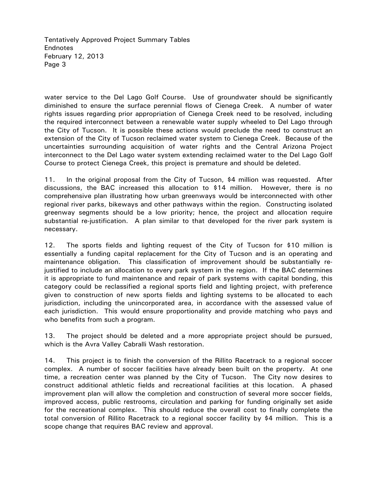Tentatively Approved Project Summary Tables Endnotes February 12, 2013 Page 3

water service to the Del Lago Golf Course. Use of groundwater should be significantly diminished to ensure the surface perennial flows of Cienega Creek. A number of water rights issues regarding prior appropriation of Cienega Creek need to be resolved, including the required interconnect between a renewable water supply wheeled to Del Lago through the City of Tucson. It is possible these actions would preclude the need to construct an extension of the City of Tucson reclaimed water system to Cienega Creek. Because of the uncertainties surrounding acquisition of water rights and the Central Arizona Project interconnect to the Del Lago water system extending reclaimed water to the Del Lago Golf Course to protect Cienega Creek, this project is premature and should be deleted.

11. In the original proposal from the City of Tucson, \$4 million was requested. After discussions, the BAC increased this allocation to \$14 million. However, there is no comprehensive plan illustrating how urban greenways would be interconnected with other regional river parks, bikeways and other pathways within the region. Constructing isolated greenway segments should be a low priority; hence, the project and allocation require substantial re-justification. A plan similar to that developed for the river park system is necessary.

12. The sports fields and lighting request of the City of Tucson for \$10 million is essentially a funding capital replacement for the City of Tucson and is an operating and maintenance obligation. This classification of improvement should be substantially rejustified to include an allocation to every park system in the region. If the BAC determines it is appropriate to fund maintenance and repair of park systems with capital bonding, this category could be reclassified a regional sports field and lighting project, with preference given to construction of new sports fields and lighting systems to be allocated to each jurisdiction, including the unincorporated area, in accordance with the assessed value of each jurisdiction. This would ensure proportionality and provide matching who pays and who benefits from such a program.

13. The project should be deleted and a more appropriate project should be pursued, which is the Avra Valley Cabralli Wash restoration.

14. This project is to finish the conversion of the Rillito Racetrack to a regional soccer complex. A number of soccer facilities have already been built on the property. At one time, a recreation center was planned by the City of Tucson. The City now desires to construct additional athletic fields and recreational facilities at this location. A phased improvement plan will allow the completion and construction of several more soccer fields, improved access, public restrooms, circulation and parking for funding originally set aside for the recreational complex. This should reduce the overall cost to finally complete the total conversion of Rillito Racetrack to a regional soccer facility by \$4 million. This is a scope change that requires BAC review and approval.